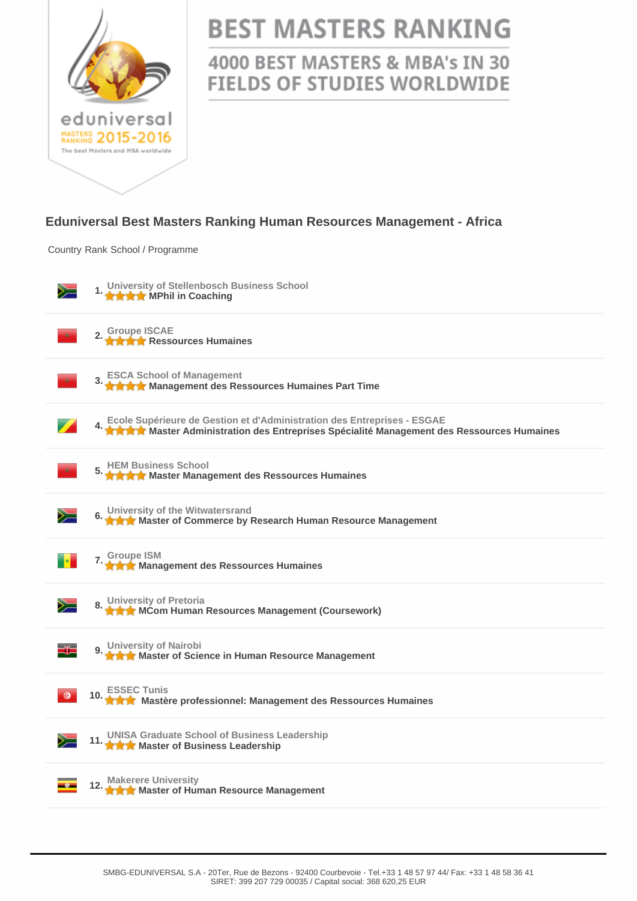

# **BEST MASTERS RANKING**

## 4000 BEST MASTERS & MBA's IN 30 **FIELDS OF STUDIES WORLDWIDE**

#### **Eduniversal Best Masters Ranking Human Resources Management - Africa**

Country Rank School / Programme